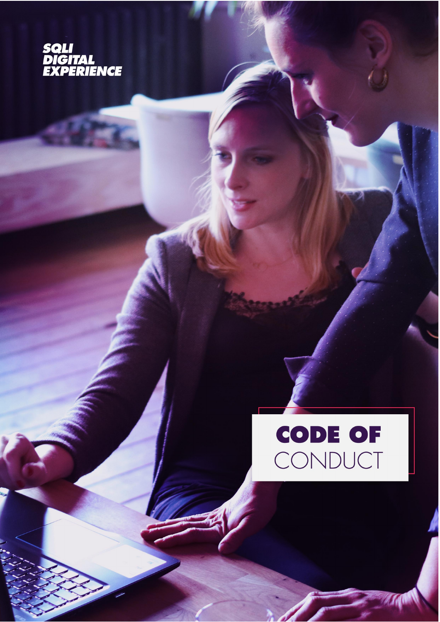

# **CODE OF** CONDUCT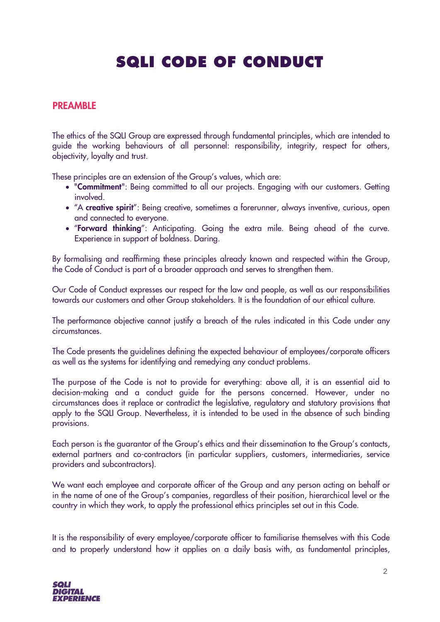# **SQLI CODE OF CONDUCT**

#### PREAMBLE

The ethics of the SQLI Group are expressed through fundamental principles, which are intended to guide the working behaviours of all personnel: responsibility, integrity, respect for others, objectivity, loyalty and trust.

These principles are an extension of the Group's values, which are:

- "Commitment": Being committed to all our projects. Engaging with our customers. Getting involved.
- "A creative spirit": Being creative, sometimes a forerunner, always inventive, curious, open and connected to everyone.
- "Forward thinking": Anticipating. Going the extra mile. Being ahead of the curve. Experience in support of boldness. Daring.

By formalising and reaffirming these principles already known and respected within the Group, the Code of Conduct is part of a broader approach and serves to strengthen them.

Our Code of Conduct expresses our respect for the law and people, as well as our responsibilities towards our customers and other Group stakeholders. It is the foundation of our ethical culture.

The performance objective cannot justify a breach of the rules indicated in this Code under any circumstances.

The Code presents the guidelines defining the expected behaviour of employees/corporate officers as well as the systems for identifying and remedying any conduct problems.

The purpose of the Code is not to provide for everything: above all, it is an essential aid to decision-making and a conduct guide for the persons concerned. However, under no circumstances does it replace or contradict the legislative, regulatory and statutory provisions that apply to the SQLI Group. Nevertheless, it is intended to be used in the absence of such binding provisions.

Each person is the guarantor of the Group's ethics and their dissemination to the Group's contacts, external partners and co-contractors (in particular suppliers, customers, intermediaries, service providers and subcontractors).

We want each employee and corporate officer of the Group and any person acting on behalf or in the name of one of the Group's companies, regardless of their position, hierarchical level or the country in which they work, to apply the professional ethics principles set out in this Code.

It is the responsibility of every employee/corporate officer to familiarise themselves with this Code and to properly understand how it applies on a daily basis with, as fundamental principles,

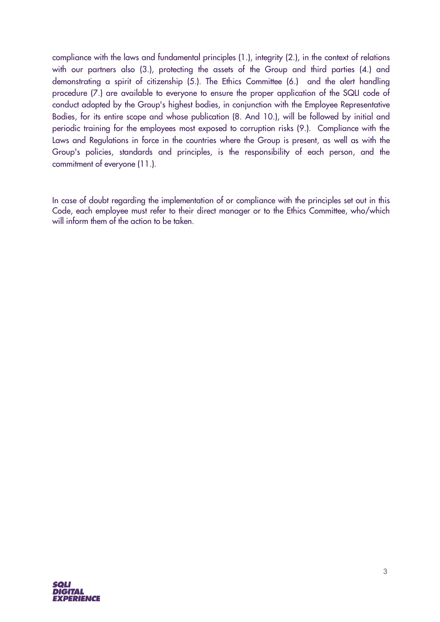compliance with the laws and fundamental principles (1.), integrity (2.), in the context of relations with our partners also (3.), protecting the assets of the Group and third parties (4.) and demonstrating a spirit of citizenship (5.). The Ethics Committee (6.) and the alert handling procedure (7.) are available to everyone to ensure the proper application of the SQLI code of conduct adopted by the Group's highest bodies, in conjunction with the Employee Representative Bodies, for its entire scope and whose publication (8. And 10.), will be followed by initial and periodic training for the employees most exposed to corruption risks (9.). Compliance with the Laws and Regulations in force in the countries where the Group is present, as well as with the Group's policies, standards and principles, is the responsibility of each person, and the commitment of everyone (11.).

In case of doubt regarding the implementation of or compliance with the principles set out in this Code, each employee must refer to their direct manager or to the Ethics Committee, who/which will inform them of the action to be taken.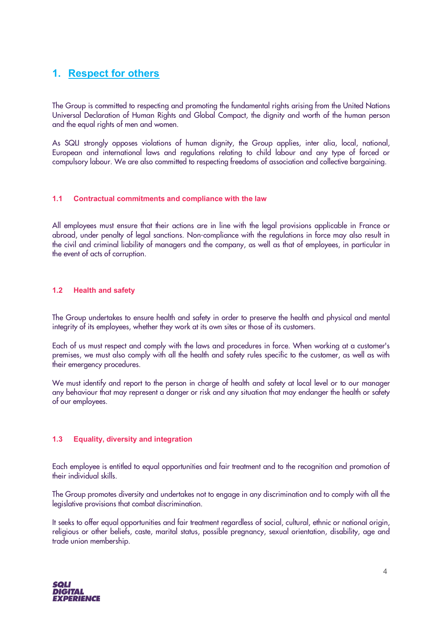# **1. Respect for others**

The Group is committed to respecting and promoting the fundamental rights arising from the United Nations Universal Declaration of Human Rights and Global Compact, the dignity and worth of the human person and the equal rights of men and women.

As SQLI strongly opposes violations of human dignity, the Group applies, inter alia, local, national, European and international laws and regulations relating to child labour and any type of forced or compulsory labour. We are also committed to respecting freedoms of association and collective bargaining.

#### **1.1 Contractual commitments and compliance with the law**

All employees must ensure that their actions are in line with the legal provisions applicable in France or abroad, under penalty of legal sanctions. Non-compliance with the regulations in force may also result in the civil and criminal liability of managers and the company, as well as that of employees, in particular in the event of acts of corruption.

#### **1.2 Health and safety**

The Group undertakes to ensure health and safety in order to preserve the health and physical and mental integrity of its employees, whether they work at its own sites or those of its customers.

Each of us must respect and comply with the laws and procedures in force. When working at a customer's premises, we must also comply with all the health and safety rules specific to the customer, as well as with their emergency procedures.

We must identify and report to the person in charge of health and safety at local level or to our manager any behaviour that may represent a danger or risk and any situation that may endanger the health or safety of our employees.

#### **1.3 Equality, diversity and integration**

Each employee is entitled to equal opportunities and fair treatment and to the recognition and promotion of their individual skills.

The Group promotes diversity and undertakes not to engage in any discrimination and to comply with all the legislative provisions that combat discrimination.

It seeks to offer equal opportunities and fair treatment regardless of social, cultural, ethnic or national origin, religious or other beliefs, caste, marital status, possible pregnancy, sexual orientation, disability, age and trade union membership.

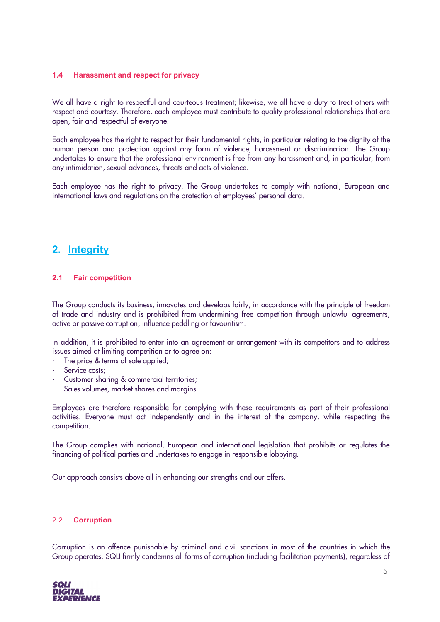#### **1.4 Harassment and respect for privacy**

We all have a right to respectful and courteous treatment; likewise, we all have a duty to treat others with respect and courtesy. Therefore, each employee must contribute to quality professional relationships that are open, fair and respectful of everyone.

Each employee has the right to respect for their fundamental rights, in particular relating to the dignity of the human person and protection against any form of violence, harassment or discrimination. The Group undertakes to ensure that the professional environment is free from any harassment and, in particular, from any intimidation, sexual advances, threats and acts of violence.

Each employee has the right to privacy. The Group undertakes to comply with national, European and international laws and regulations on the protection of employees' personal data.

# **2. Integrity**

#### **2.1 Fair competition**

The Group conducts its business, innovates and develops fairly, in accordance with the principle of freedom of trade and industry and is prohibited from undermining free competition through unlawful agreements, active or passive corruption, influence peddling or favouritism.

In addition, it is prohibited to enter into an agreement or arrangement with its competitors and to address issues aimed at limiting competition or to agree on:

- The price & terms of sale applied;
- Service costs;
- Customer sharing & commercial territories;
- Sales volumes, market shares and margins.

Employees are therefore responsible for complying with these requirements as part of their professional activities. Everyone must act independently and in the interest of the company, while respecting the competition.

The Group complies with national, European and international legislation that prohibits or regulates the financing of political parties and undertakes to engage in responsible lobbying.

Our approach consists above all in enhancing our strengths and our offers.

#### 2.2 **Corruption**

Corruption is an offence punishable by criminal and civil sanctions in most of the countries in which the Group operates. SQLI firmly condemns all forms of corruption (including facilitation payments), regardless of

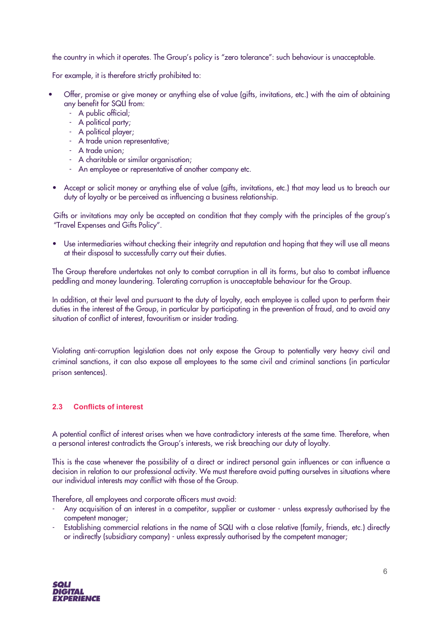the country in which it operates. The Group's policy is "zero tolerance": such behaviour is unacceptable.

For example, it is therefore strictly prohibited to:

- Offer, promise or give money or anything else of value (gifts, invitations, etc.) with the aim of obtaining any benefit for SQLI from:
	- A public official;
	- A political party;
	- A political player;
	- A trade union representative;
	- A trade union;
	- A charitable or similar organisation;
	- An employee or representative of another company etc.
- Accept or solicit money or anything else of value (gifts, invitations, etc.) that may lead us to breach our duty of loyalty or be perceived as influencing a business relationship.

Gifts or invitations may only be accepted on condition that they comply with the principles of the group's "Travel Expenses and Gifts Policy".

• Use intermediaries without checking their integrity and reputation and hoping that they will use all means at their disposal to successfully carry out their duties.

The Group therefore undertakes not only to combat corruption in all its forms, but also to combat influence peddling and money laundering. Tolerating corruption is unacceptable behaviour for the Group.

In addition, at their level and pursuant to the duty of loyalty, each employee is called upon to perform their duties in the interest of the Group, in particular by participating in the prevention of fraud, and to avoid any situation of conflict of interest, favouritism or insider trading.

Violating anti-corruption legislation does not only expose the Group to potentially very heavy civil and criminal sanctions, it can also expose all employees to the same civil and criminal sanctions (in particular prison sentences).

#### **2.3 Conflicts of interest**

A potential conflict of interest arises when we have contradictory interests at the same time. Therefore, when a personal interest contradicts the Group's interests, we risk breaching our duty of loyalty.

This is the case whenever the possibility of a direct or indirect personal gain influences or can influence a decision in relation to our professional activity. We must therefore avoid putting ourselves in situations where our individual interests may conflict with those of the Group.

Therefore, all employees and corporate officers must avoid:

- Any acquisition of an interest in a competitor, supplier or customer unless expressly authorised by the competent manager;
- Establishing commercial relations in the name of SQLI with a close relative (family, friends, etc.) directly or indirectly (subsidiary company) - unless expressly authorised by the competent manager;

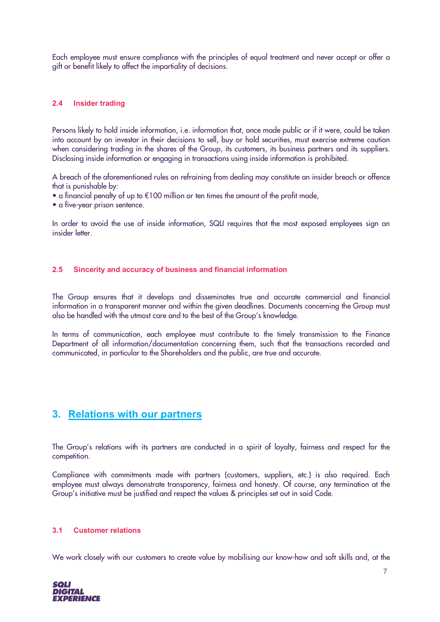Each employee must ensure compliance with the principles of equal treatment and never accept or offer a gift or benefit likely to affect the impartiality of decisions.

#### **2.4 Insider trading**

Persons likely to hold inside information, i.e. information that, once made public or if it were, could be taken into account by an investor in their decisions to sell, buy or hold securities, must exercise extreme caution when considering trading in the shares of the Group, its customers, its business partners and its suppliers. Disclosing inside information or engaging in transactions using inside information is prohibited.

A breach of the aforementioned rules on refraining from dealing may constitute an insider breach or offence that is punishable by:

- a financial penalty of up to €100 million or ten times the amount of the profit made,
- a five-year prison sentence.

In order to avoid the use of inside information, SQLI requires that the most exposed employees sign an insider letter.

#### **2.5 Sincerity and accuracy of business and financial information**

The Group ensures that it develops and disseminates true and accurate commercial and financial information in a transparent manner and within the given deadlines. Documents concerning the Group must also be handled with the utmost care and to the best of the Group's knowledge.

In terms of communication, each employee must contribute to the timely transmission to the Finance Department of all information/documentation concerning them, such that the transactions recorded and communicated, in particular to the Shareholders and the public, are true and accurate.

#### **3. Relations with our partners**

The Group's relations with its partners are conducted in a spirit of loyalty, fairness and respect for the competition.

Compliance with commitments made with partners (customers, suppliers, etc.) is also required. Each employee must always demonstrate transparency, fairness and honesty. Of course, any termination at the Group's initiative must be justified and respect the values & principles set out in said Code.

#### **3.1 Customer relations**

We work closely with our customers to create value by mobilising our know-how and soft skills and, at the

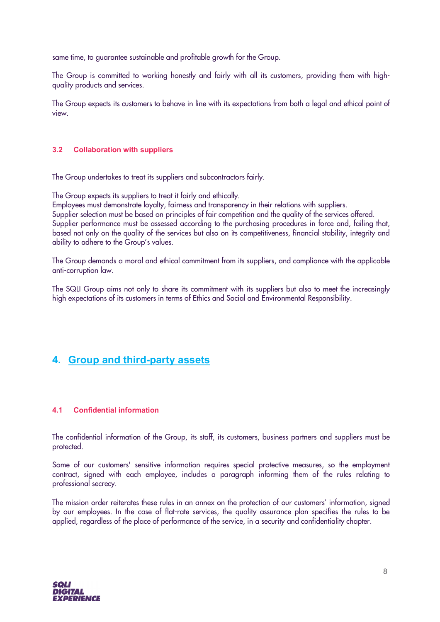same time, to guarantee sustainable and profitable growth for the Group.

The Group is committed to working honestly and fairly with all its customers, providing them with highquality products and services.

The Group expects its customers to behave in line with its expectations from both a legal and ethical point of view.

#### **3.2 Collaboration with suppliers**

The Group undertakes to treat its suppliers and subcontractors fairly.

The Group expects its suppliers to treat it fairly and ethically.

Employees must demonstrate loyalty, fairness and transparency in their relations with suppliers. Supplier selection must be based on principles of fair competition and the quality of the services offered. Supplier performance must be assessed according to the purchasing procedures in force and, failing that, based not only on the quality of the services but also on its competitiveness, financial stability, integrity and ability to adhere to the Group's values.

The Group demands a moral and ethical commitment from its suppliers, and compliance with the applicable anti-corruption law.

The SQLI Group aims not only to share its commitment with its suppliers but also to meet the increasingly high expectations of its customers in terms of Ethics and Social and Environmental Responsibility.

# **4. Group and third-party assets**

#### **4.1 Confidential information**

The confidential information of the Group, its staff, its customers, business partners and suppliers must be protected.

Some of our customers' sensitive information requires special protective measures, so the employment contract, signed with each employee, includes a paragraph informing them of the rules relating to professional secrecy.

The mission order reiterates these rules in an annex on the protection of our customers' information, signed by our employees. In the case of flat-rate services, the quality assurance plan specifies the rules to be applied, regardless of the place of performance of the service, in a security and confidentiality chapter.

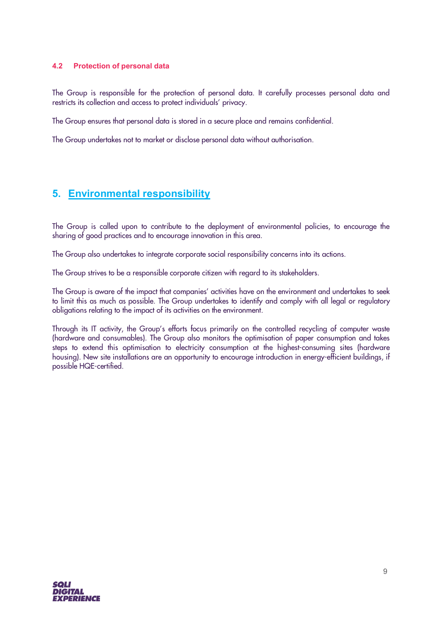#### **4.2 Protection of personal data**

The Group is responsible for the protection of personal data. It carefully processes personal data and restricts its collection and access to protect individuals' privacy.

The Group ensures that personal data is stored in a secure place and remains confidential.

The Group undertakes not to market or disclose personal data without authorisation.

# **5. Environmental responsibility**

The Group is called upon to contribute to the deployment of environmental policies, to encourage the sharing of good practices and to encourage innovation in this area.

The Group also undertakes to integrate corporate social responsibility concerns into its actions.

The Group strives to be a responsible corporate citizen with regard to its stakeholders.

The Group is aware of the impact that companies' activities have on the environment and undertakes to seek to limit this as much as possible. The Group undertakes to identify and comply with all legal or regulatory obligations relating to the impact of its activities on the environment.

Through its IT activity, the Group's efforts focus primarily on the controlled recycling of computer waste (hardware and consumables). The Group also monitors the optimisation of paper consumption and takes steps to extend this optimisation to electricity consumption at the highest-consuming sites (hardware housing). New site installations are an opportunity to encourage introduction in energy-efficient buildings, if possible HQE-certified.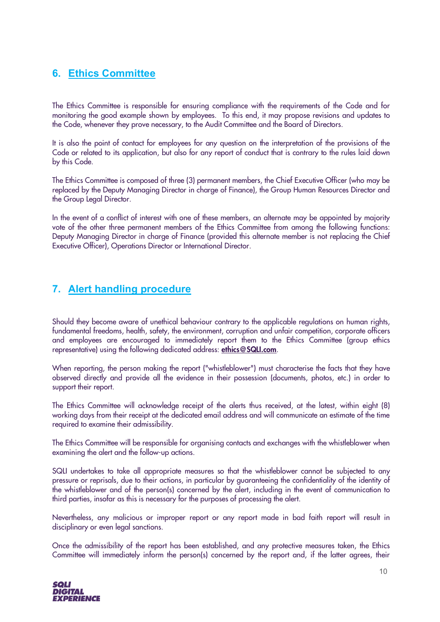# **6. Ethics Committee**

The Ethics Committee is responsible for ensuring compliance with the requirements of the Code and for monitoring the good example shown by employees. To this end, it may propose revisions and updates to the Code, whenever they prove necessary, to the Audit Committee and the Board of Directors.

It is also the point of contact for employees for any question on the interpretation of the provisions of the Code or related to its application, but also for any report of conduct that is contrary to the rules laid down by this Code.

The Ethics Committee is composed of three (3) permanent members, the Chief Executive Officer (who may be replaced by the Deputy Managing Director in charge of Finance), the Group Human Resources Director and the Group Legal Director.

In the event of a conflict of interest with one of these members, an alternate may be appointed by majority vote of the other three permanent members of the Ethics Committee from among the following functions: Deputy Managing Director in charge of Finance (provided this alternate member is not replacing the Chief Executive Officer), Operations Director or International Director.

# **7. Alert handling procedure**

Should they become aware of unethical behaviour contrary to the applicable regulations on human rights, fundamental freedoms, health, safety, the environment, corruption and unfair competition, corporate officers and employees are encouraged to immediately report them to the Ethics Committee (group ethics representative) using the following dedicated address: ethics@SQLI.com.

When reporting, the person making the report ("whistleblower") must characterise the facts that they have observed directly and provide all the evidence in their possession (documents, photos, etc.) in order to support their report.

The Ethics Committee will acknowledge receipt of the alerts thus received, at the latest, within eight (8) working days from their receipt at the dedicated email address and will communicate an estimate of the time required to examine their admissibility.

The Ethics Committee will be responsible for organising contacts and exchanges with the whistleblower when examining the alert and the follow-up actions.

SQLI undertakes to take all appropriate measures so that the whistleblower cannot be subjected to any pressure or reprisals, due to their actions, in particular by guaranteeing the confidentiality of the identity of the whistleblower and of the person(s) concerned by the alert, including in the event of communication to third parties, insofar as this is necessary for the purposes of processing the alert.

Nevertheless, any malicious or improper report or any report made in bad faith report will result in disciplinary or even legal sanctions.

Once the admissibility of the report has been established, and any protective measures taken, the Ethics Committee will immediately inform the person(s) concerned by the report and, if the latter agrees, their

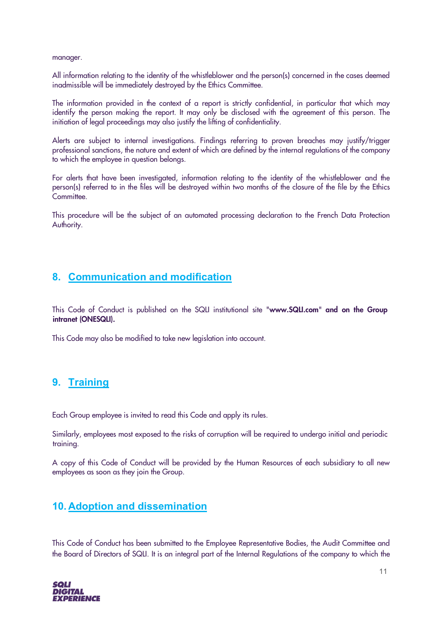manager.

All information relating to the identity of the whistleblower and the person(s) concerned in the cases deemed inadmissible will be immediately destroyed by the Ethics Committee.

The information provided in the context of a report is strictly confidential, in particular that which may identify the person making the report. It may only be disclosed with the agreement of this person. The initiation of legal proceedings may also justify the lifting of confidentiality.

Alerts are subject to internal investigations. Findings referring to proven breaches may justify/trigger professional sanctions, the nature and extent of which are defined by the internal regulations of the company to which the employee in question belongs.

For alerts that have been investigated, information relating to the identity of the whistleblower and the person(s) referred to in the files will be destroyed within two months of the closure of the file by the Ethics Committee.

This procedure will be the subject of an automated processing declaration to the French Data Protection Authority.

# **8. Communication and modification**

This Code of Conduct is published on the SQLI institutional site "www.SQLI.com" and on the Group intranet (ONESQLI).

This Code may also be modified to take new legislation into account.

# **9. Training**

Each Group employee is invited to read this Code and apply its rules.

Similarly, employees most exposed to the risks of corruption will be required to undergo initial and periodic training.

A copy of this Code of Conduct will be provided by the Human Resources of each subsidiary to all new employees as soon as they join the Group.

# **10. Adoption and dissemination**

This Code of Conduct has been submitted to the Employee Representative Bodies, the Audit Committee and the Board of Directors of SQLI. It is an integral part of the Internal Regulations of the company to which the